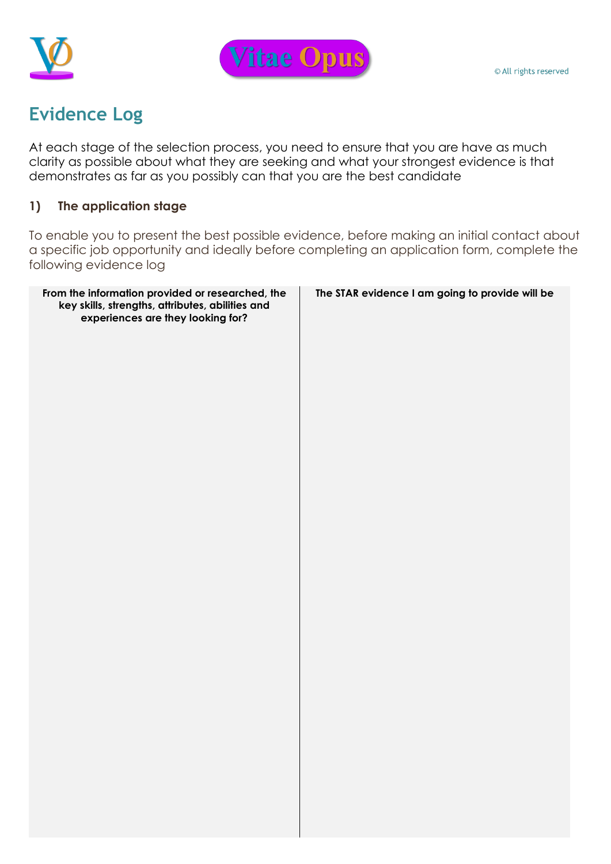



## **Evidence Log**

At each stage of the selection process, you need to ensure that you are have as much clarity as possible about what they are seeking and what your strongest evidence is that demonstrates as far as you possibly can that you are the best candidate

## **1) The application stage**

To enable you to present the best possible evidence, before making an initial contact about a specific job opportunity and ideally before completing an application form, complete the following evidence log

| From the information provided or researched, the<br>key skills, strengths, attributes, abilities and<br>experiences are they looking for? | The STAR evidence I am going to provide will be |
|-------------------------------------------------------------------------------------------------------------------------------------------|-------------------------------------------------|
|                                                                                                                                           |                                                 |
|                                                                                                                                           |                                                 |
|                                                                                                                                           |                                                 |
|                                                                                                                                           |                                                 |
|                                                                                                                                           |                                                 |
|                                                                                                                                           |                                                 |
|                                                                                                                                           |                                                 |
|                                                                                                                                           |                                                 |
|                                                                                                                                           |                                                 |
|                                                                                                                                           |                                                 |
|                                                                                                                                           |                                                 |
|                                                                                                                                           |                                                 |
|                                                                                                                                           |                                                 |
|                                                                                                                                           |                                                 |
|                                                                                                                                           |                                                 |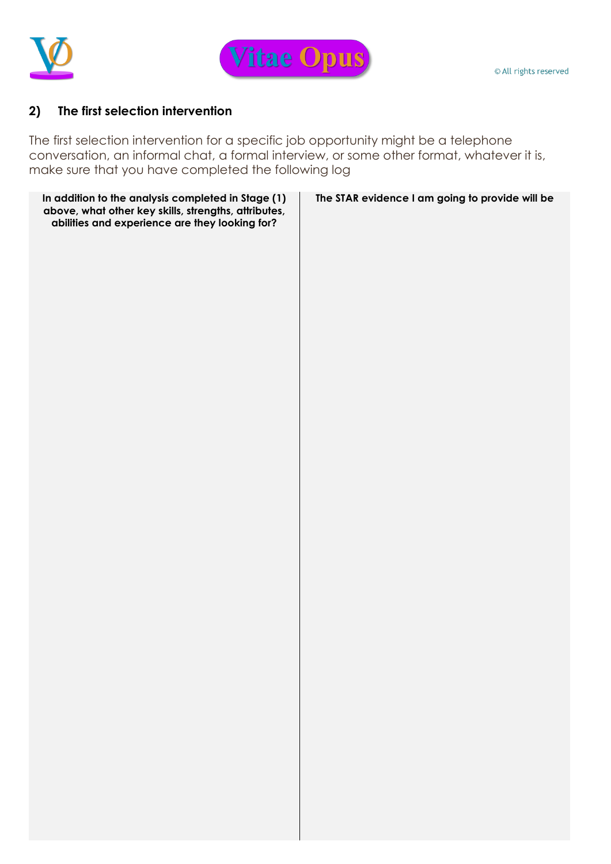



## **2) The first selection intervention**

The first selection intervention for a specific job opportunity might be a telephone conversation, an informal chat, a formal interview, or some other format, whatever it is, make sure that you have completed the following log

| In addition to the analysis completed in Stage (1)<br>above, what other key skills, strengths, attributes,<br>abilities and experience are they looking for? | The STAR evidence I am going to provide will be |
|--------------------------------------------------------------------------------------------------------------------------------------------------------------|-------------------------------------------------|
|                                                                                                                                                              |                                                 |
|                                                                                                                                                              |                                                 |
|                                                                                                                                                              |                                                 |
|                                                                                                                                                              |                                                 |
|                                                                                                                                                              |                                                 |
|                                                                                                                                                              |                                                 |
|                                                                                                                                                              |                                                 |
|                                                                                                                                                              |                                                 |
|                                                                                                                                                              |                                                 |
|                                                                                                                                                              |                                                 |
|                                                                                                                                                              |                                                 |
|                                                                                                                                                              |                                                 |
|                                                                                                                                                              |                                                 |